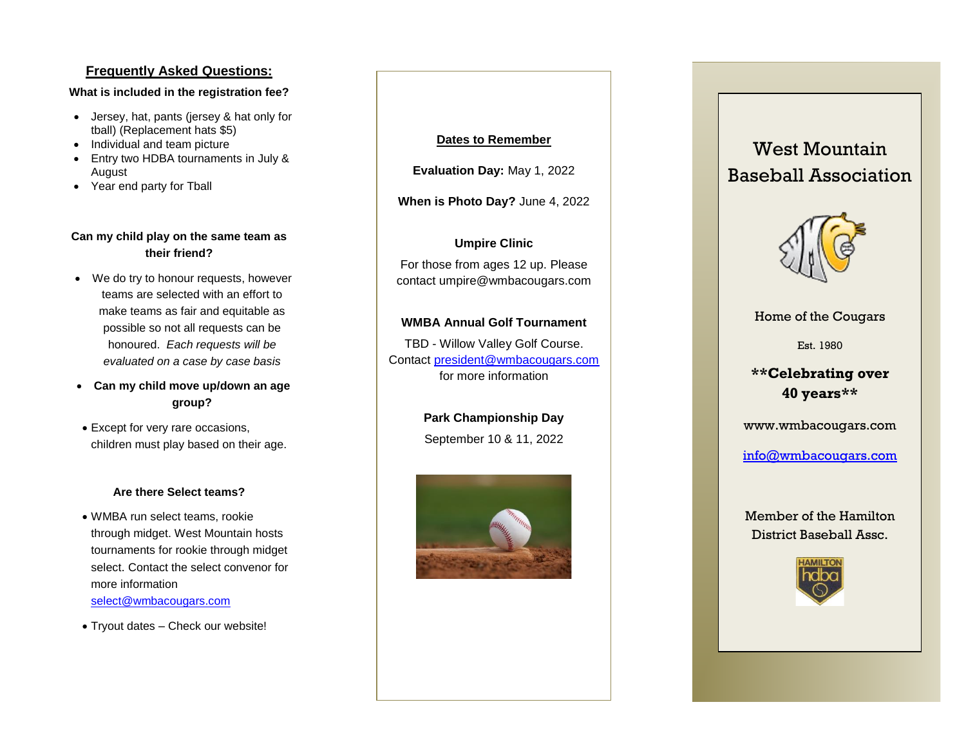#### **Frequently Asked Questions:**

#### **What is included in the registration fee?**

- Jersey, hat, pants (jersey & hat only for tball) (Replacement hats \$5)
- Individual and team picture
- Entry two HDBA tournaments in July & August
- Year end party for Tball

#### **Can my child play on the same team as their friend?**

- We do try to honour requests, however teams are selected with an effort to make teams as fair and equitable as possible so not all requests can be honoured. *Each requests will be evaluated on a case by case basis*
- **Can my child move up/down an age group?**
- Except for very rare occasions, children must play based on their age.

#### **Are there Select teams?**

- WMBA run select teams, rookie through midget. West Mountain hosts tournaments for rookie through midget select. Contact the select convenor for more information [select@wmbacougars.com](mailto:select@wmbacougars.com)
- Tryout dates Check our website!

#### **Dates to Remember**

**Evaluation Day:** May 1, 2022

**When is Photo Day?** June 4, 2022

#### **Umpire Clinic**

For those from ages 12 up. Please contact umpire@wmbacougars.com

#### **WMBA Annual Golf Tournament**

TBD - Willow Valley Golf Course. Contact [president@wmbacougars.com](mailto:president@wmbacougars.com) for more information

> **Park Championship Day** September 10 & 11, 2022



# West Mountain Baseball Association



Home of the Cougars

Est. 1980

# **\*\*Celebrating over 40 years\*\***

[www.wmbacougars.com](http://www.wmbacougars.com/)

[info@wmbacougars.com](mailto:info@wmbacougars.com)

Member of the Hamilton District Baseball Assc.